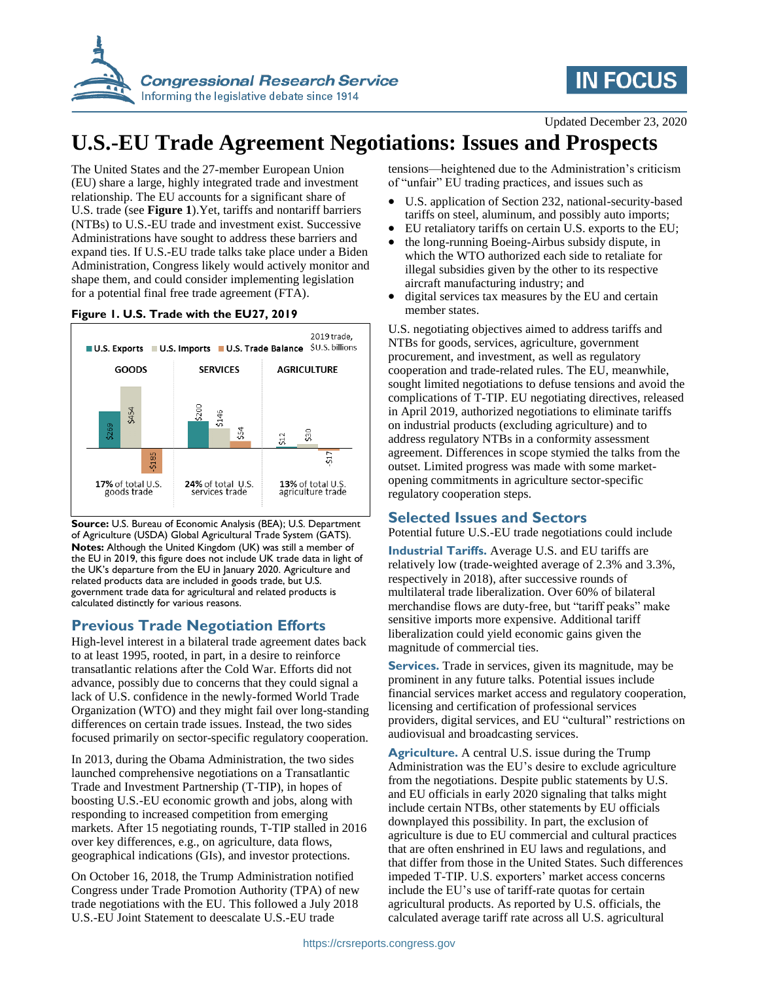



Updated December 23, 2020

# **U.S.-EU Trade Agreement Negotiations: Issues and Prospects**

The United States and the 27-member European Union (EU) share a large, highly integrated trade and investment relationship. The EU accounts for a significant share of U.S. trade (see **Figure 1**).Yet, tariffs and nontariff barriers (NTBs) to U.S.-EU trade and investment exist. Successive Administrations have sought to address these barriers and expand ties. If U.S.-EU trade talks take place under a Biden Administration, Congress likely would actively monitor and shape them, and could consider implementing legislation for a potential final free trade agreement (FTA).

#### **Figure 1. U.S. Trade with the EU27, 2019**



**Source:** U.S. Bureau of Economic Analysis (BEA); U.S. Department of Agriculture (USDA) Global Agricultural Trade System (GATS). **Notes:** Although the United Kingdom (UK) was still a member of the EU in 2019, this figure does not include UK trade data in light of the UK's departure from the EU in January 2020. Agriculture and related products data are included in goods trade, but U.S. government trade data for agricultural and related products is calculated distinctly for various reasons.

## **Previous Trade Negotiation Efforts**

High-level interest in a bilateral trade agreement dates back to at least 1995, rooted, in part, in a desire to reinforce transatlantic relations after the Cold War. Efforts did not advance, possibly due to concerns that they could signal a lack of U.S. confidence in the newly-formed World Trade Organization (WTO) and they might fail over long-standing differences on certain trade issues. Instead, the two sides focused primarily on sector-specific regulatory cooperation.

In 2013, during the Obama Administration, the two sides launched comprehensive negotiations on a Transatlantic Trade and Investment Partnership (T-TIP), in hopes of boosting U.S.-EU economic growth and jobs, along with responding to increased competition from emerging markets. After 15 negotiating rounds, T-TIP stalled in 2016 over key differences, e.g., on agriculture, data flows, geographical indications (GIs), and investor protections.

On October 16, 2018, the Trump Administration notified Congress under Trade Promotion Authority (TPA) of new trade negotiations with the EU. This followed a July 2018 U.S.-EU Joint Statement to deescalate U.S.-EU trade

tensions—heightened due to the Administration's criticism of "unfair" EU trading practices, and issues such as

- U.S. application of Section 232, national-security-based tariffs on steel, aluminum, and possibly auto imports;
- EU retaliatory tariffs on certain U.S. exports to the EU;
- the long-running Boeing-Airbus subsidy dispute, in which the WTO authorized each side to retaliate for illegal subsidies given by the other to its respective aircraft manufacturing industry; and
- digital services tax measures by the EU and certain member states.

U.S. negotiating objectives aimed to address tariffs and NTBs for goods, services, agriculture, government procurement, and investment, as well as regulatory cooperation and trade-related rules. The EU, meanwhile, sought limited negotiations to defuse tensions and avoid the complications of T-TIP. EU negotiating directives, released in April 2019, authorized negotiations to eliminate tariffs on industrial products (excluding agriculture) and to address regulatory NTBs in a conformity assessment agreement. Differences in scope stymied the talks from the outset. Limited progress was made with some marketopening commitments in agriculture sector-specific regulatory cooperation steps.

### **Selected Issues and Sectors**

Potential future U.S.-EU trade negotiations could include

**Industrial Tariffs.** Average U.S. and EU tariffs are relatively low (trade-weighted average of 2.3% and 3.3%, respectively in 2018), after successive rounds of multilateral trade liberalization. Over 60% of bilateral merchandise flows are duty-free, but "tariff peaks" make sensitive imports more expensive. Additional tariff liberalization could yield economic gains given the magnitude of commercial ties.

**Services.** Trade in services, given its magnitude, may be prominent in any future talks. Potential issues include financial services market access and regulatory cooperation, licensing and certification of professional services providers, digital services, and EU "cultural" restrictions on audiovisual and broadcasting services.

**Agriculture.** A central U.S. issue during the Trump Administration was the EU's desire to exclude agriculture from the negotiations. Despite public statements by U.S. and EU officials in early 2020 signaling that talks might include certain NTBs, other statements by EU officials downplayed this possibility. In part, the exclusion of agriculture is due to EU commercial and cultural practices that are often enshrined in EU laws and regulations, and that differ from those in the United States. Such differences impeded T-TIP. U.S. exporters' market access concerns include the EU's use of tariff-rate quotas for certain agricultural products. As reported by U.S. officials, the calculated average tariff rate across all U.S. agricultural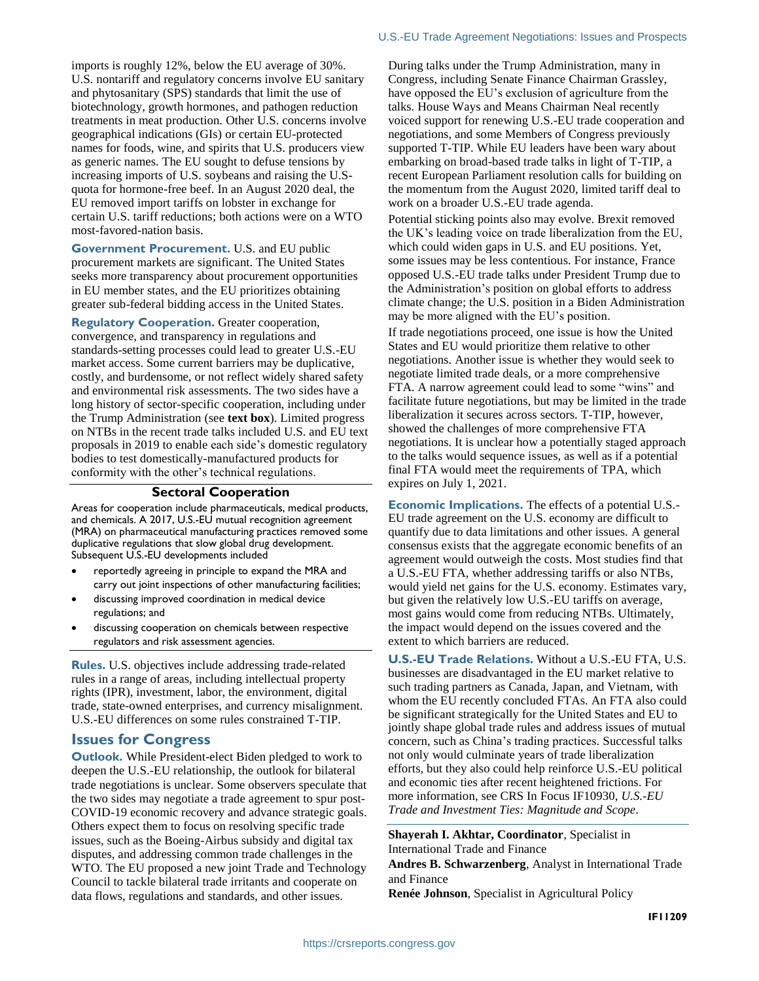imports is roughly 12%, below the EU average of 30%. U.S. nontariff and regulatory concerns involve EU sanitary and phytosanitary (SPS) standards that limit the use of biotechnology, growth hormones, and pathogen reduction treatments in meat production. Other U.S. concerns involve geographical indications (GIs) or certain EU-protected names for foods, wine, and spirits that U.S. producers view as generic names. The EU sought to defuse tensions by increasing imports of U.S. soybeans and raising the U.Squota for hormone-free beef. In an August 2020 deal, the EU removed import tariffs on lobster in exchange for certain U.S. tariff reductions; both actions were on a WTO most-favored-nation basis.

**Government Procurement.** U.S. and EU public procurement markets are significant. The United States seeks more transparency about procurement opportunities in EU member states, and the EU prioritizes obtaining greater sub-federal bidding access in the United States.

**Regulatory Cooperation.** Greater cooperation, convergence, and transparency in regulations and standards-setting processes could lead to greater U.S.-EU market access. Some current barriers may be duplicative, costly, and burdensome, or not reflect widely shared safety and environmental risk assessments. The two sides have a long history of sector-specific cooperation, including under the Trump Administration (see **text box**). Limited progress on NTBs in the recent trade talks included U.S. and EU text proposals in 2019 to enable each side's domestic regulatory bodies to test domestically-manufactured products for conformity with the other's technical regulations.

#### **Sectoral Cooperation**

Areas for cooperation include pharmaceuticals, medical products, and chemicals. A 2017, U.S.-EU mutual recognition agreement (MRA) on pharmaceutical manufacturing practices removed some duplicative regulations that slow global drug development. Subsequent U.S.-EU developments included

- reportedly agreeing in principle to expand the MRA and carry out joint inspections of other manufacturing facilities;
- discussing improved coordination in medical device regulations; and
- discussing cooperation on chemicals between respective regulators and risk assessment agencies.

**Rules.** U.S. objectives include addressing trade-related rules in a range of areas, including intellectual property rights (IPR), investment, labor, the environment, digital trade, state-owned enterprises, and currency misalignment. U.S.-EU differences on some rules constrained T-TIP.

#### **Issues for Congress**

**Outlook.** While President-elect Biden pledged to work to deepen the U.S.-EU relationship, the outlook for bilateral trade negotiations is unclear. Some observers speculate that the two sides may negotiate a trade agreement to spur post-COVID-19 economic recovery and advance strategic goals. Others expect them to focus on resolving specific trade issues, such as the Boeing-Airbus subsidy and digital tax disputes, and addressing common trade challenges in the WTO. The EU proposed a new joint Trade and Technology Council to tackle bilateral trade irritants and cooperate on data flows, regulations and standards, and other issues.

During talks under the Trump Administration, many in Congress, including Senate Finance Chairman Grassley, have opposed the EU's exclusion of agriculture from the talks. House Ways and Means Chairman Neal recently voiced support for renewing U.S.-EU trade cooperation and negotiations, and some Members of Congress previously supported T-TIP. While EU leaders have been wary about embarking on broad-based trade talks in light of T-TIP, a recent European Parliament resolution calls for building on the momentum from the August 2020, limited tariff deal to work on a broader U.S.-EU trade agenda.

Potential sticking points also may evolve. Brexit removed the UK's leading voice on trade liberalization from the EU, which could widen gaps in U.S. and EU positions. Yet, some issues may be less contentious. For instance, France opposed U.S.-EU trade talks under President Trump due to the Administration's position on global efforts to address climate change; the U.S. position in a Biden Administration may be more aligned with the EU's position.

If trade negotiations proceed, one issue is how the United States and EU would prioritize them relative to other negotiations. Another issue is whether they would seek to negotiate limited trade deals, or a more comprehensive FTA. A narrow agreement could lead to some "wins" and facilitate future negotiations, but may be limited in the trade liberalization it secures across sectors. T-TIP, however, showed the challenges of more comprehensive FTA negotiations. It is unclear how a potentially staged approach to the talks would sequence issues, as well as if a potential final FTA would meet the requirements of TPA, which expires on July 1, 2021.

**Economic Implications.** The effects of a potential U.S.- EU trade agreement on the U.S. economy are difficult to quantify due to data limitations and other issues. A general consensus exists that the aggregate economic benefits of an agreement would outweigh the costs. Most studies find that a U.S.-EU FTA, whether addressing tariffs or also NTBs, would yield net gains for the U.S. economy. Estimates vary, but given the relatively low U.S.-EU tariffs on average, most gains would come from reducing NTBs. Ultimately, the impact would depend on the issues covered and the extent to which barriers are reduced.

**U.S.-EU Trade Relations.** Without a U.S.-EU FTA, U.S. businesses are disadvantaged in the EU market relative to such trading partners as Canada, Japan, and Vietnam, with whom the EU recently concluded FTAs. An FTA also could be significant strategically for the United States and EU to jointly shape global trade rules and address issues of mutual concern, such as China's trading practices. Successful talks not only would culminate years of trade liberalization efforts, but they also could help reinforce U.S.-EU political and economic ties after recent heightened frictions. For more information, see CRS In Focus IF10930, *U.S.-EU Trade and Investment Ties: Magnitude and Scope*.

**Shayerah I. Akhtar, Coordinator**, Specialist in International Trade and Finance

**Andres B. Schwarzenberg**, Analyst in International Trade and Finance

**Renée Johnson**, Specialist in Agricultural Policy